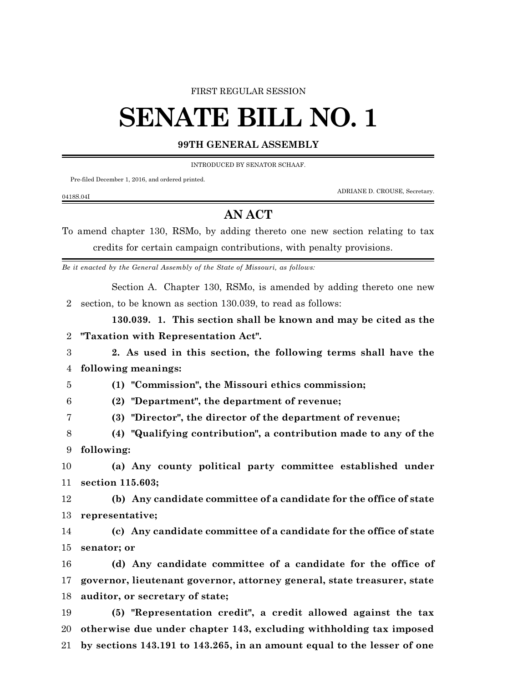## FIRST REGULAR SESSION

## **SENATE BILL NO. 1**

## **99TH GENERAL ASSEMBLY**

INTRODUCED BY SENATOR SCHAAF.

Pre-filed December 1, 2016, and ordered printed.

0418S.04I

ADRIANE D. CROUSE, Secretary.

## **AN ACT**

To amend chapter 130, RSMo, by adding thereto one new section relating to tax credits for certain campaign contributions, with penalty provisions.

*Be it enacted by the General Assembly of the State of Missouri, as follows:*

Section A. Chapter 130, RSMo, is amended by adding thereto one new section, to be known as section 130.039, to read as follows:

**130.039. 1. This section shall be known and may be cited as the "Taxation with Representation Act".**

 **2. As used in this section, the following terms shall have the following meanings:**

**(1) "Commission", the Missouri ethics commission;**

**(2) "Department", the department of revenue;**

**(3) "Director", the director of the department of revenue;**

 **(4) "Qualifying contribution", a contribution made to any of the following:**

 **(a) Any county political party committee established under section 115.603;**

 **(b) Any candidate committee of a candidate for the office of state representative;**

 **(c) Any candidate committee of a candidate for the office of state senator; or**

 **(d) Any candidate committee of a candidate for the office of governor, lieutenant governor, attorney general, state treasurer, state auditor, or secretary of state;**

 **(5) "Representation credit", a credit allowed against the tax otherwise due under chapter 143, excluding withholding tax imposed by sections 143.191 to 143.265, in an amount equal to the lesser of one**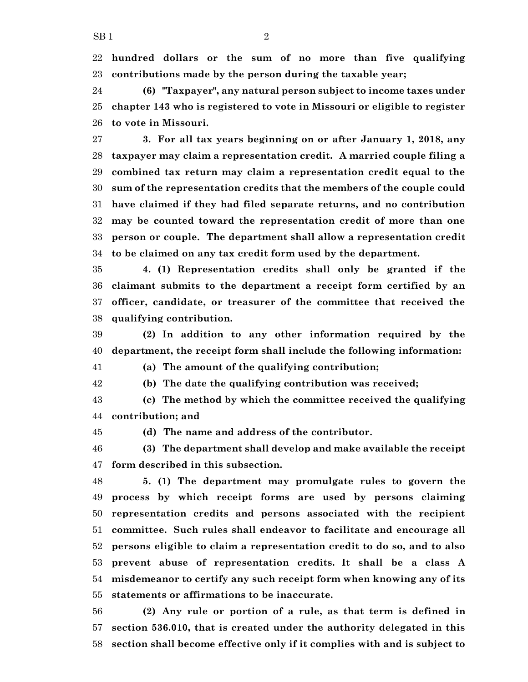**hundred dollars or the sum of no more than five qualifying contributions made by the person during the taxable year;**

 **(6) "Taxpayer", any natural person subject to income taxes under chapter 143 who is registered to vote in Missouri or eligible to register to vote in Missouri.**

 **3. For all tax years beginning on or after January 1, 2018, any taxpayer may claim a representation credit. A married couple filing a combined tax return may claim a representation credit equal to the sum of the representation credits that the members of the couple could have claimed if they had filed separate returns, and no contribution may be counted toward the representation credit of more than one person or couple. The department shall allow a representation credit to be claimed on any tax credit form used by the department.**

 **4. (1) Representation credits shall only be granted if the claimant submits to the department a receipt form certified by an officer, candidate, or treasurer of the committee that received the qualifying contribution.**

 **(2) In addition to any other information required by the department, the receipt form shall include the following information:**

**(a) The amount of the qualifying contribution;**

**(b) The date the qualifying contribution was received;**

 **(c) The method by which the committee received the qualifying contribution; and**

**(d) The name and address of the contributor.**

 **(3) The department shall develop and make available the receipt form described in this subsection.**

 **5. (1) The department may promulgate rules to govern the process by which receipt forms are used by persons claiming representation credits and persons associated with the recipient committee. Such rules shall endeavor to facilitate and encourage all persons eligible to claim a representation credit to do so, and to also prevent abuse of representation credits. It shall be a class A misdemeanor to certify any such receipt form when knowing any of its statements or affirmations to be inaccurate.**

 **(2) Any rule or portion of a rule, as that term is defined in section 536.010, that is created under the authority delegated in this section shall become effective only if it complies with and is subject to**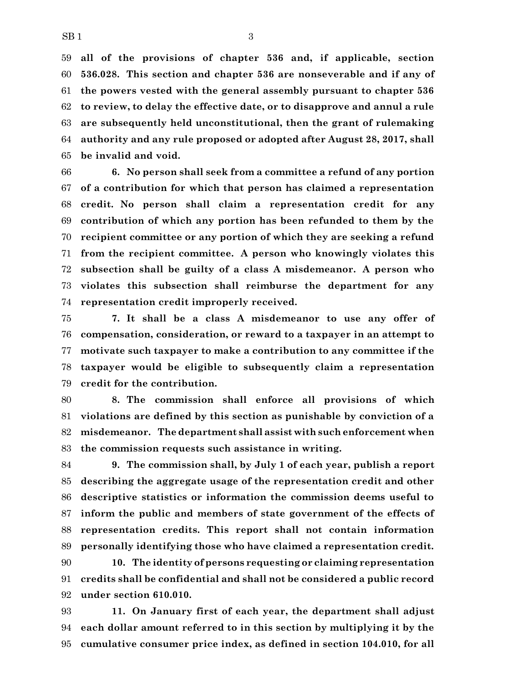**all of the provisions of chapter 536 and, if applicable, section 536.028. This section and chapter 536 are nonseverable and if any of the powers vested with the general assembly pursuant to chapter 536 to review, to delay the effective date, or to disapprove and annul a rule are subsequently held unconstitutional, then the grant of rulemaking authority and any rule proposed or adopted after August 28, 2017, shall be invalid and void.**

 **6. No person shall seek from a committee a refund of any portion of a contribution for which that person has claimed a representation credit. No person shall claim a representation credit for any contribution of which any portion has been refunded to them by the recipient committee or any portion of which they are seeking a refund from the recipient committee. A person who knowingly violates this subsection shall be guilty of a class A misdemeanor. A person who violates this subsection shall reimburse the department for any representation credit improperly received.**

 **7. It shall be a class A misdemeanor to use any offer of compensation, consideration, or reward to a taxpayer in an attempt to motivate such taxpayer to make a contribution to any committee if the taxpayer would be eligible to subsequently claim a representation credit for the contribution.**

 **8. The commission shall enforce all provisions of which violations are defined by this section as punishable by conviction of a misdemeanor. The department shall assist with such enforcement when the commission requests such assistance in writing.**

 **9. The commission shall, by July 1 of each year, publish a report describing the aggregate usage of the representation credit and other descriptive statistics or information the commission deems useful to inform the public and members of state government of the effects of representation credits. This report shall not contain information personally identifying those who have claimed a representation credit.**

 **10. The identity of persons requesting or claiming representation credits shall be confidential and shall not be considered a public record under section 610.010.**

 **11. On January first of each year, the department shall adjust each dollar amount referred to in this section by multiplying it by the cumulative consumer price index, as defined in section 104.010, for all**